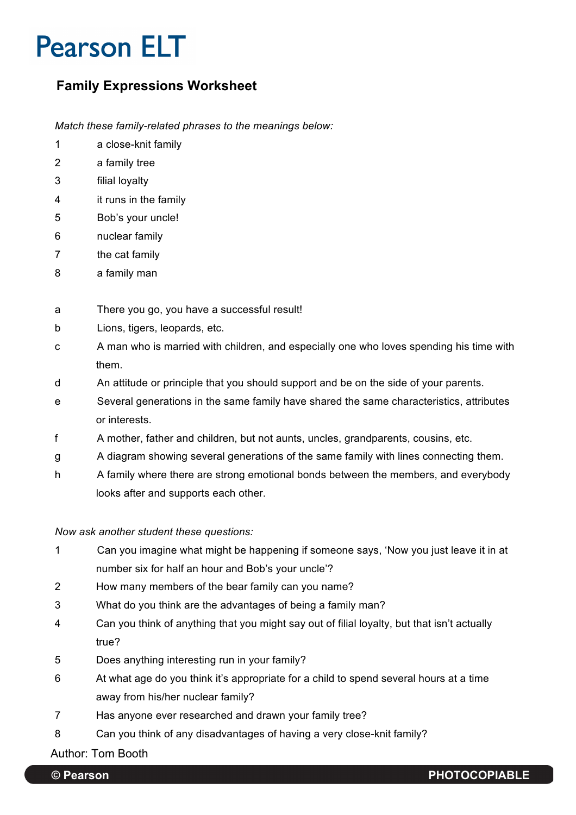# **Pearson ELT**

### **Family Expressions Worksheet**

*Match these family-related phrases to the meanings below:*

- 1 a close-knit family
- 2 a family tree
- 3 filial loyalty
- 4 it runs in the family
- 5 Bob's your uncle!
- 6 nuclear family
- 7 the cat family
- 8 a family man

### a There you go, you have a successful result!

- b Lions, tigers, leopards, etc.
- c A man who is married with children, and especially one who loves spending his time with them.
- d An attitude or principle that you should support and be on the side of your parents.
- e Several generations in the same family have shared the same characteristics, attributes or interests.
- f A mother, father and children, but not aunts, uncles, grandparents, cousins, etc.
- g A diagram showing several generations of the same family with lines connecting them.
- h A family where there are strong emotional bonds between the members, and everybody looks after and supports each other.

#### *Now ask another student these questions:*

- 1 Can you imagine what might be happening if someone says, 'Now you just leave it in at number six for half an hour and Bob's your uncle'?
- 2 How many members of the bear family can you name?
- 3 What do you think are the advantages of being a family man?
- 4 Can you think of anything that you might say out of filial loyalty, but that isn't actually true?
- 5 Does anything interesting run in your family?
- 6 At what age do you think it's appropriate for a child to spend several hours at a time away from his/her nuclear family?
- 7 Has anyone ever researched and drawn your family tree?
- 8 Can you think of any disadvantages of having a very close-knit family?

Author: Tom Booth